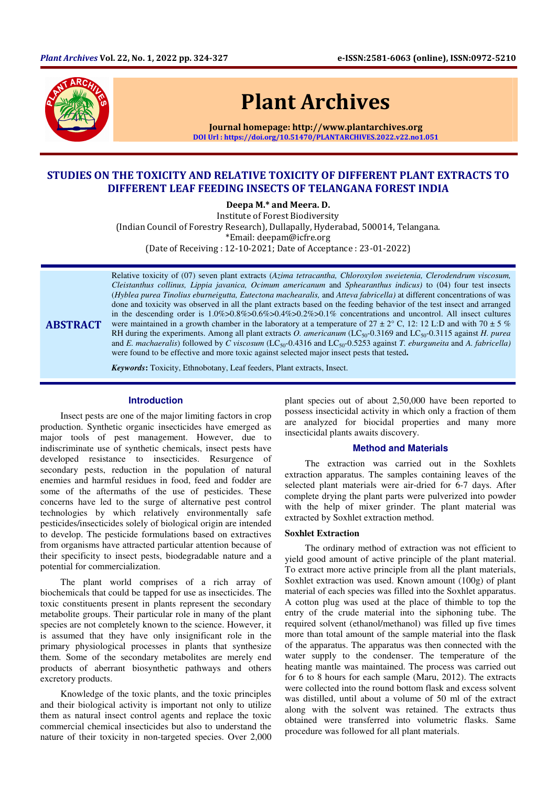

ABSTRACT

# Plant Archives

Journal homepage: http://www.plantarchives.org DOI Url : https://doi.org/10.51470/PLANTARCHIVES.2022.v22.no1.051

# STUDIES ON THE TOXICITY AND RELATIVE TOXICITY OF DIFFERENT PLANT EXTRACTS TO DIFFERENT LEAF FEEDING INSECTS OF TELANGANA FOREST INDIA

Deepa M.\* and Meera. D.

Institute of Forest Biodiversity (Indian Council of Forestry Research), Dullapally, Hyderabad, 500014, Telangana. \*Email: deepam@icfre.org (Date of Receiving : 12-10-2021; Date of Acceptance : 23-01-2022)

Relative toxicity of (07) seven plant extracts (*Azima tetracantha, Chloroxylon sweietenia, Clerodendrum viscosum, Cleistanthus collinus, Lippia javanica, Ocimum americanum* and *Sphearanthus indicus)* to (04) four test insects (*Hyblea purea Tinolius eburneigutta, Eutectona machearalis,* and *Atteva fabricella)* at different concentrations of was done and toxicity was observed in all the plant extracts based on the feeding behavior of the test insect and arranged in the descending order is 1.0%>0.8%>0.6%>0.4%>0.2%>0.1% concentrations and uncontrol. All insect cultures were maintained in a growth chamber in the laboratory at a temperature of  $27 \pm 2^{\circ}$  C, 12: 12 L:D and with 70  $\pm$  5 % RH during the experiments. Among all plant extracts *O. americanum* (LC<sub>50</sub>-0.3169 and LC<sub>50</sub>-0.3115 against *H. purea* and *E. machaeralis*) followed by *C* viscosum (LC<sub>50</sub>-0.4316 and LC<sub>50</sub>-0.5253 against *T. eburguneita* and *A. fabricella*) were found to be effective and more toxic against selected major insect pests that tested**.**

*Keywords***:** Toxicity, Ethnobotany, Leaf feeders, Plant extracts, Insect.

# **Introduction**

Insect pests are one of the major limiting factors in crop production. Synthetic organic insecticides have emerged as major tools of pest management. However, due to indiscriminate use of synthetic chemicals, insect pests have developed resistance to insecticides. Resurgence of secondary pests, reduction in the population of natural enemies and harmful residues in food, feed and fodder are some of the aftermaths of the use of pesticides. These concerns have led to the surge of alternative pest control technologies by which relatively environmentally safe pesticides/insecticides solely of biological origin are intended to develop. The pesticide formulations based on extractives from organisms have attracted particular attention because of their specificity to insect pests, biodegradable nature and a potential for commercialization.

The plant world comprises of a rich array of biochemicals that could be tapped for use as insecticides. The toxic constituents present in plants represent the secondary metabolite groups. Their particular role in many of the plant species are not completely known to the science. However, it is assumed that they have only insignificant role in the primary physiological processes in plants that synthesize them. Some of the secondary metabolites are merely end products of aberrant biosynthetic pathways and others excretory products.

Knowledge of the toxic plants, and the toxic principles and their biological activity is important not only to utilize them as natural insect control agents and replace the toxic commercial chemical insecticides but also to understand the nature of their toxicity in non-targeted species. Over 2,000 plant species out of about 2,50,000 have been reported to possess insecticidal activity in which only a fraction of them are analyzed for biocidal properties and many more insecticidal plants awaits discovery.

# **Method and Materials**

The extraction was carried out in the Soxhlets extraction apparatus. The samples containing leaves of the selected plant materials were air-dried for 6-7 days. After complete drying the plant parts were pulverized into powder with the help of mixer grinder. The plant material was extracted by Soxhlet extraction method.

#### **Soxhlet Extraction**

The ordinary method of extraction was not efficient to yield good amount of active principle of the plant material. To extract more active principle from all the plant materials, Soxhlet extraction was used. Known amount (100g) of plant material of each species was filled into the Soxhlet apparatus. A cotton plug was used at the place of thimble to top the entry of the crude material into the siphoning tube. The required solvent (ethanol/methanol) was filled up five times more than total amount of the sample material into the flask of the apparatus. The apparatus was then connected with the water supply to the condenser. The temperature of the heating mantle was maintained. The process was carried out for 6 to 8 hours for each sample (Maru, 2012). The extracts were collected into the round bottom flask and excess solvent was distilled, until about a volume of 50 ml of the extract along with the solvent was retained. The extracts thus obtained were transferred into volumetric flasks. Same procedure was followed for all plant materials.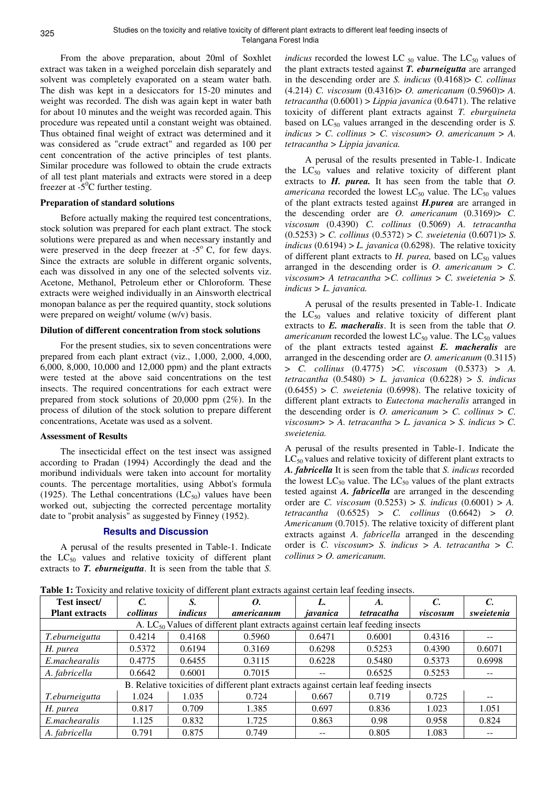From the above preparation, about 20ml of Soxhlet extract was taken in a weighed porcelain dish separately and solvent was completely evaporated on a steam water bath. The dish was kept in a desiccators for 15-20 minutes and weight was recorded. The dish was again kept in water bath for about 10 minutes and the weight was recorded again. This procedure was repeated until a constant weight was obtained. Thus obtained final weight of extract was determined and it was considered as "crude extract" and regarded as 100 per cent concentration of the active principles of test plants. Similar procedure was followed to obtain the crude extracts of all test plant materials and extracts were stored in a deep freezer at  $-5^\circ$ C further testing.

#### **Preparation of standard solutions**

Before actually making the required test concentrations, stock solution was prepared for each plant extract. The stock solutions were prepared as and when necessary instantly and were preserved in the deep freezer at  $-5^\circ$  C, for few days. Since the extracts are soluble in different organic solvents, each was dissolved in any one of the selected solvents viz. Acetone, Methanol, Petroleum ether or Chloroform. These extracts were weighed individually in an Ainsworth electrical monopan balance as per the required quantity, stock solutions were prepared on weight/ volume (w/v) basis.

# **Dilution of different concentration from stock solutions**

For the present studies, six to seven concentrations were prepared from each plant extract (viz., 1,000, 2,000, 4,000, 6,000, 8,000, 10,000 and 12,000 ppm) and the plant extracts were tested at the above said concentrations on the test insects. The required concentrations for each extract were prepared from stock solutions of 20,000 ppm (2%). In the process of dilution of the stock solution to prepare different concentrations, Acetate was used as a solvent.

## **Assessment of Results**

The insecticidal effect on the test insect was assigned according to Pradan (1994) Accordingly the dead and the moribund individuals were taken into account for mortality counts. The percentage mortalities, using Abbot's formula (1925). The Lethal concentrations  $(LC_{50})$  values have been worked out, subjecting the corrected percentage mortality date to "probit analysis" as suggested by Finney (1952).

#### **Results and Discussion**

A perusal of the results presented in Table-1. Indicate the  $LC_{50}$  values and relative toxicity of different plant extracts to *T. eburneigutta*. It is seen from the table that *S.* 

*indicus* recorded the lowest LC  $_{50}$  value. The LC<sub>50</sub> values of the plant extracts tested against *T. eburneigutta* are arranged in the descending order are *S. indicus* (0.4168)> *C. collinus* (4.214) *C. viscosum* (0.4316)> *O. americanum* (0.5960)> *A. tetracantha* (0.6001) > *Lippia javanica* (0.6471). The relative toxicity of different plant extracts against *T. eburguineta* based on  $LC_{50}$  values arranged in the descending order is *S*. *indicus > C. collinus > C. viscosum> O. americanum > A. tetracantha > Lippia javanica.* 

A perusal of the results presented in Table-1. Indicate the  $LC_{50}$  values and relative toxicity of different plant extracts to *H. purea.* It has seen from the table that *O. americana* recorded the lowest  $LC_{50}$  value. The  $LC_{50}$  values of the plant extracts tested against *H.purea* are arranged in the descending order are *O. americanum* (0.3169)> *C. viscosum* (0.4390) *C. collinus* (0.5069) *A. tetracantha* (0.5253) > *C. collinus* (0.5372) > *C. sweietenia* (0.6071)> *S. indicus* (0.6194) > *L. javanica* (0.6298). The relative toxicity of different plant extracts to *H. purea*, based on LC<sub>50</sub> values arranged in the descending order is *O. americanum > C. viscosum> A tetracantha >C. collinus > C. sweietenia > S. indicus > L. javanica.* 

A perusal of the results presented in Table-1. Indicate the  $LC_{50}$  values and relative toxicity of different plant extracts to *E. macheralis*. It is seen from the table that *O. americanum* recorded the lowest  $LC_{50}$  value. The  $LC_{50}$  values of the plant extracts tested against *E. macheralis* are arranged in the descending order are *O. americanum* (0.3115) > *C. collinus* (0.4775) >*C. viscosum* (0.5373) > *A. tetracantha* (0.5480) > *L. javanica* (0.6228) > *S. indicus*  $(0.6455) > C$ . *sweietenia* (0.6998). The relative toxicity of different plant extracts to *Eutectona macheralis* arranged in the descending order is *O. americanum > C. collinus > C. viscosum> > A. tetracantha > L. javanica > S. indicus > C. sweietenia.* 

A perusal of the results presented in Table-1. Indicate the  $LC_{50}$  values and relative toxicity of different plant extracts to *A. fabricella* It is seen from the table that *S. indicus* recorded the lowest  $LC_{50}$  value. The  $LC_{50}$  values of the plant extracts tested against *A. fabricella* are arranged in the descending order are *C. viscosum* (0.5253) > *S. indicus* (0.6001) > *A. tetracantha* (0.6525) > *C. collinus* (0.6642) *> O. Americanum* (0.7015). The relative toxicity of different plant extracts against *A. fabricella* arranged in the descending order is *C. viscosum> S. indicus > A. tetracantha > C. collinus > O. americanum.* 

**Table 1:** Toxicity and relative toxicity of different plant extracts against certain leaf feeding insects.

| Test insect/<br><b>Plant extracts</b>                                                   | collinus | S.<br><i>indicus</i> | 0.<br>americanum | javanica | A.<br><i>tetracatha</i> | $\mathcal{C}$<br>viscosum | sweietenia |
|-----------------------------------------------------------------------------------------|----------|----------------------|------------------|----------|-------------------------|---------------------------|------------|
| A. $LC_{50}$ Values of different plant extracts against certain leaf feeding insects    |          |                      |                  |          |                         |                           |            |
| T.eburneigutta                                                                          | 0.4214   | 0.4168               | 0.5960           | 0.6471   | 0.6001                  | 0.4316                    | $- -$      |
| H. purea                                                                                | 0.5372   | 0.6194               | 0.3169           | 0.6298   | 0.5253                  | 0.4390                    | 0.6071     |
| E.machearalis                                                                           | 0.4775   | 0.6455               | 0.3115           | 0.6228   | 0.5480                  | 0.5373                    | 0.6998     |
| A. fabricella                                                                           | 0.6642   | 0.6001               | 0.7015           | --       | 0.6525                  | 0.5253                    |            |
| B. Relative toxicities of different plant extracts against certain leaf feeding insects |          |                      |                  |          |                         |                           |            |
| T.eburneigutta                                                                          | 1.024    | 1.035                | 0.724            | 0.667    | 0.719                   | 0.725                     | $- -$      |
| H. purea                                                                                | 0.817    | 0.709                | 1.385            | 0.697    | 0.836                   | 1.023                     | 1.051      |
| E.machearalis                                                                           | 1.125    | 0.832                | 1.725            | 0.863    | 0.98                    | 0.958                     | 0.824      |
| A. fabricella                                                                           | 0.791    | 0.875                | 0.749            |          | 0.805                   | 1.083                     |            |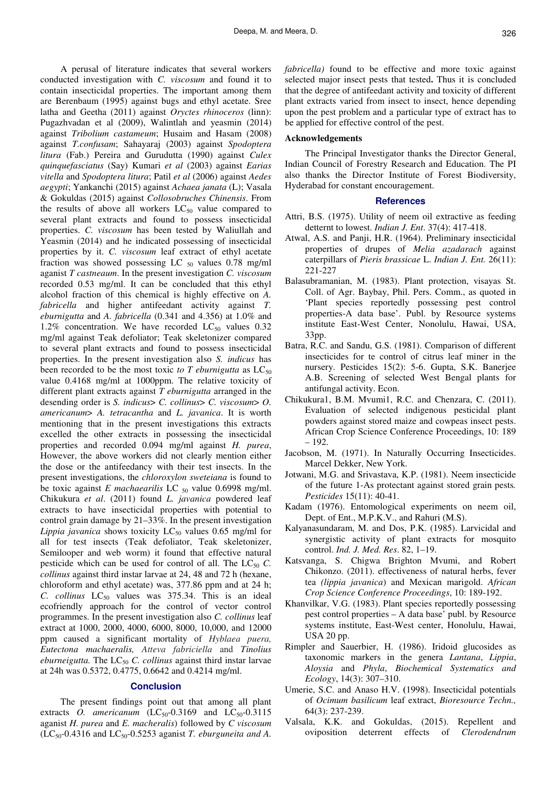A perusal of literature indicates that several workers conducted investigation with *C. viscosum* and found it to contain insecticidal properties. The important among them are Berenbaum (1995) against bugs and ethyl acetate. Sree latha and Geetha (2011) against *Oryctes rhinoceros* (linn): Pugazhvadan et al (2009), Walintlah and yeasmin (2014) against *Tribolium castameum*; Husaim and Hasam (2008) against *T.confusam*; Sahayaraj (2003) against *Spodoptera litura* (Fab.) Pereira and Gurudutta (1990) against *Culex quinquefasciatus* (Say) Kumari *et al* (2003) against *Earias vitella* and *Spodoptera litura*; Patil *et al* (2006) against *Aedes aegypti*; Yankanchi (2015) against *Achaea janata* (L); Vasala & Gokuldas (2015) against *Collosobruches Chinensis*. From the results of above all workers  $LC_{50}$  value compared to several plant extracts and found to possess insecticidal properties. *C. viscosum* has been tested by Waliullah and Yeasmin (2014) and he indicated possessing of insecticidal properties by it. *C. viscosum* leaf extract of ethyl acetate fraction was showed possessing LC  $_{50}$  values 0.78 mg/ml aganist *T castneaum*. In the present investigation *C. viscosum* recorded 0.53 mg/ml. It can be concluded that this ethyl alcohol fraction of this chemical is highly effective on *A. fabricella* and higher antifeedant activity against *T. eburnigutta* and *A. fabricella* (0.341 and 4.356) at 1.0% and 1.2% concentration. We have recorded  $LC_{50}$  values 0.32 mg/ml against Teak defoliator; Teak skeletonizer compared to several plant extracts and found to possess insecticidal properties. In the present investigation also *S. indicus* has been recorded to be the most toxic *to T eburnigutta* as  $LC_{50}$ value 0.4168 mg/ml at 1000ppm. The relative toxicity of different plant extracts against *T eburnigutta* arranged in the desending order is *S. indicus*> *C. collinus*> *C. viscosum*> *O. americanum*> *A. tetracantha* and *L. javanica*. It is worth mentioning that in the present investigations this extracts excelled the other extracts in possessing the insecticidal properties and recorded 0.094 mg/ml against *H. purea*, However, the above workers did not clearly mention either the dose or the antifeedancy with their test insects. In the present investigations, the *chloroxylon sweteiana* is found to be toxic against *E machaearilis* LC <sub>50</sub> value 0.6998 mg/ml. Chikukura *et al*. (2011) found *L. javanica* powdered leaf extracts to have insecticidal properties with potential to control grain damage by 21–33%. In the present investigation *Lippia javanica* shows toxicity  $LC_{50}$  values 0.65 mg/ml for all for test insects (Teak defoliator, Teak skeletonizer, Semilooper and web worm) it found that effective natural pesticide which can be used for control of all. The  $LC_{50}$  *C*. *collinus* against third instar larvae at 24, 48 and 72 h (hexane, chloroform and ethyl acetate) was, 377.86 ppm and at 24 h; *C. collinus*  $LC_{50}$  values was 375.34. This is an ideal ecofriendly approach for the control of vector control programmes. In the present investigation also *C. collinus* leaf extract at 1000, 2000, 4000, 6000, 8000, 10,000, and 12000 ppm caused a significant mortality of *Hyblaea puera, Eutectona machaeralis, Atteva fabriciella* and *Tinolius eburneigutta.* The LC<sub>50</sub> *C. collinus* against third instar larvae at 24h was 0.5372, 0.4775, 0.6642 and 0.4214 mg/ml.

#### **Conclusion**

The present findings point out that among all plant extracts *O. americanum*  $(LC_{50}$ -0.3169 and  $LC_{50}$ -0.3115 aganist *H. purea* and *E. macheralis*) followed by *C viscosum*   $(LC_{50}$ -0.4316 and  $LC_{50}$ -0.5253 aganist *T. eburguneita and A.* 

*fabricella)* found to be effective and more toxic against selected major insect pests that tested**.** Thus it is concluded that the degree of antifeedant activity and toxicity of different plant extracts varied from insect to insect, hence depending upon the pest problem and a particular type of extract has to be applied for effective control of the pest.

## **Acknowledgements**

The Principal Investigator thanks the Director General, Indian Council of Forestry Research and Education. The PI also thanks the Director Institute of Forest Biodiversity, Hyderabad for constant encouragement.

#### **References**

- Attri, B.S. (1975). Utility of neem oil extractive as feeding detternt to lowest. *Indian J. Ent*. 37(4): 417-418.
- Atwal, A.S. and Panji, H.R. (1964). Preliminary insecticidal properties of drupes of *Melia azadarach* against caterpillars of *Pieris brassicae* L. *Indian J. Ent.* 26(11): 221-227
- Balasubramanian, M. (1983). Plant protection, visayas St. Coll. of Agr. Baybay, Phil. Pers. Comm., as quoted in 'Plant species reportedly possessing pest control properties-A data base'. Publ. by Resource systems institute East-West Center, Nonolulu, Hawai, USA, 33pp.
- Batra, R.C. and Sandu, G.S. (1981). Comparison of different insecticides for te control of citrus leaf miner in the nursery. Pesticides 15(2): 5-6. Gupta, S.K. Banerjee A.B. Screening of selected West Bengal plants for antifungal activity. Econ.
- Chikukura1, B.M. Mvumi1, R.C. and Chenzara, C. (2011). Evaluation of selected indigenous pesticidal plant powders against stored maize and cowpeas insect pests. African Crop Science Conference Proceedings, 10: 189 – 192.
- Jacobson, M. (1971). In Naturally Occurring Insecticides. Marcel Dekker, New York.
- Jotwani, M.G. and Srivastava, K.P. (1981). Neem insecticide of the future 1-As protectant against stored grain pests*. Pesticides* 15(11): 40-41.
- Kadam (1976). Entomological experiments on neem oil, Dept. of Ent., M.P.K.V., and Rahuri (M.S).
- Kalyanasundaram, M. and Dos, P.K. (1985). Larvicidal and synergistic activity of plant extracts for mosquito control. *Ind. J. Med. Res*. 82, 1–19.
- Katsvanga, S. Chigwa Brighton Mvumi, and Robert Chikonzo. (2011). effectiveness of natural herbs, fever tea *(lippia javanica*) and Mexican marigold. *African Crop Science Conference Proceedings*, 10: 189-192.
- Khanvilkar, V.G. (1983). Plant species reportedly possessing pest control properties – A data base' publ. by Resource systems institute, East-West center, Honolulu, Hawai, USA 20 pp.
- Rimpler and Sauerbier, H. (1986). Iridoid glucosides as taxonomic markers in the genera *Lantana*, *Lippia*, *Aloysia* and *Phyla*, *Biochemical Systematics and Ecology*, 14(3): 307–310.
- Umerie, S.C. and Anaso H.V. **(**1998). Insecticidal potentials of *Ocimum basilicum* leaf extract, *Bioresource Techn.,*  64(3): 237-239.
- Valsala, K.K. and Gokuldas, (2015). Repellent and oviposition deterrent effects of *Clerodendrum*